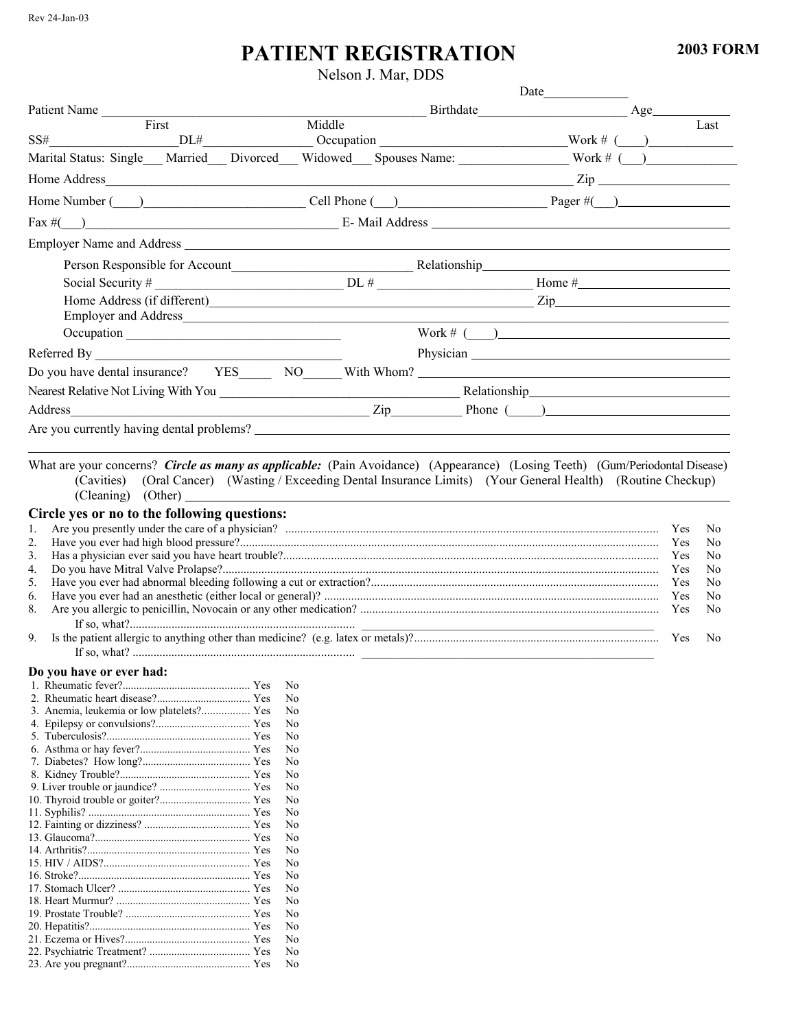## **PATIENT REGISTRATION**

Nelson J. Mar, DDS

|                                                                                                                                                                                                                                                                                                                                                                                                                                                                                                                                      |        |                                       | Date             |     |                                 |                                              |
|--------------------------------------------------------------------------------------------------------------------------------------------------------------------------------------------------------------------------------------------------------------------------------------------------------------------------------------------------------------------------------------------------------------------------------------------------------------------------------------------------------------------------------------|--------|---------------------------------------|------------------|-----|---------------------------------|----------------------------------------------|
| Patient Name                                                                                                                                                                                                                                                                                                                                                                                                                                                                                                                         |        |                                       |                  | Age |                                 |                                              |
| First<br>SS#                                                                                                                                                                                                                                                                                                                                                                                                                                                                                                                         | Middle |                                       |                  |     |                                 | Last                                         |
| Marital Status: Single Married Marital Status: Single Married Marital Status: Single Married Marital Status: Single Marital Status: Single Marital Status: Single Marital Status: Single Marital Status: Single Marital Status                                                                                                                                                                                                                                                                                                       |        | $DL#$ $DC#$ $Occupation$ $Work #$ $($ |                  |     |                                 |                                              |
|                                                                                                                                                                                                                                                                                                                                                                                                                                                                                                                                      |        |                                       |                  |     |                                 |                                              |
|                                                                                                                                                                                                                                                                                                                                                                                                                                                                                                                                      |        |                                       | $\mathsf{Zip}\_$ |     |                                 |                                              |
| Home Number (Call Phone (Call Phone (Call Phone (Call Phone Call Phone Call Phone Call Phone Call Phone Call Phone Call Phone Call Phone Call Phone Call Phone Call Phone Call Phone Call Phone Call Phone Call Phone Call Pho                                                                                                                                                                                                                                                                                                       |        |                                       |                  |     |                                 |                                              |
|                                                                                                                                                                                                                                                                                                                                                                                                                                                                                                                                      |        |                                       |                  |     |                                 |                                              |
| Employer Name and Address <b>expansion of the Contract Contract Contract Contract Contract Contract Contract Contract Contract Contract Contract Contract Contract Contract Contract Contract Contract Contract Contract Contrac</b>                                                                                                                                                                                                                                                                                                 |        |                                       |                  |     |                                 |                                              |
| Person Responsible for Account<br><u>Electronic Relationship</u>                                                                                                                                                                                                                                                                                                                                                                                                                                                                     |        |                                       |                  |     |                                 |                                              |
|                                                                                                                                                                                                                                                                                                                                                                                                                                                                                                                                      |        |                                       |                  |     |                                 |                                              |
|                                                                                                                                                                                                                                                                                                                                                                                                                                                                                                                                      |        |                                       |                  |     |                                 |                                              |
|                                                                                                                                                                                                                                                                                                                                                                                                                                                                                                                                      |        |                                       |                  |     |                                 |                                              |
|                                                                                                                                                                                                                                                                                                                                                                                                                                                                                                                                      |        | Work # $($                            |                  |     |                                 |                                              |
| $\begin{tabular}{c} \bf {Referred}\; By \begin{tabular}{@{}c@{}} \textbf{\textcolor{blue}{\textbf{M} \textcolor{blue}{\textbf{M} \textcolor{blue}{\textbf{M} \textcolor{blue}{\textbf{M} \textcolor{blue}{\textbf{M} \textcolor{blue}{\textbf{M} \textcolor{blue}{\textbf{M} \textcolor{blue}{\textbf{M} \textcolor{blue}{\textbf{M} \textcolor{blue}{\textbf{M} \textcolor{blue}{\textbf{M} \textcolor{blue}{\textbf{M} \textcolor{blue}{\textbf{M} \textcolor{blue}{\textbf{M} \textcolor{blue}{\textbf{M} \textcolor{blue}{\text$ |        |                                       |                  |     |                                 |                                              |
|                                                                                                                                                                                                                                                                                                                                                                                                                                                                                                                                      |        |                                       |                  |     |                                 |                                              |
|                                                                                                                                                                                                                                                                                                                                                                                                                                                                                                                                      |        |                                       |                  |     |                                 |                                              |
| Address<br><u> 1989 - Johann Barn, mars ann an t-Amhain Aonaich an t-Aonaich an t-Aonaich ann an t-Aonaich ann an t-Aonaich</u>                                                                                                                                                                                                                                                                                                                                                                                                      |        |                                       |                  |     |                                 |                                              |
| Are you currently having dental problems?                                                                                                                                                                                                                                                                                                                                                                                                                                                                                            |        |                                       |                  |     |                                 |                                              |
| 3.<br>4.<br>5.<br>6.<br>8.<br>9.                                                                                                                                                                                                                                                                                                                                                                                                                                                                                                     |        |                                       |                  |     | Yes<br>Yes<br>Yes<br>Yes<br>Yes | No<br>No<br>N <sub>0</sub><br>No<br>No<br>No |
|                                                                                                                                                                                                                                                                                                                                                                                                                                                                                                                                      |        |                                       |                  |     |                                 |                                              |
|                                                                                                                                                                                                                                                                                                                                                                                                                                                                                                                                      |        |                                       |                  |     |                                 |                                              |